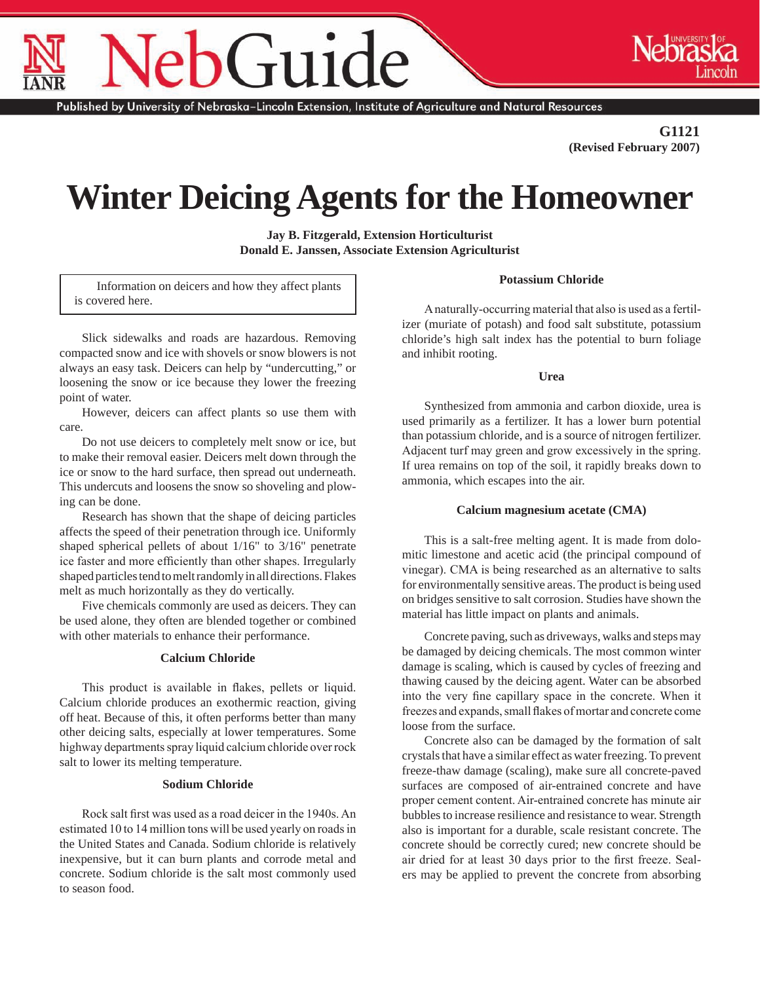# $\overline{\mathrm{u}}$

Published by University of Nebraska–Lincoln Extension, Institute of Agriculture and Natural Resources

**G1121 (Revised February 2007)**

# **Winter Deicing Agents for the Homeowner**

**Jay B. Fitzgerald, Extension Horticulturist Donald E. Janssen, Associate Extension Agriculturist**

Information on deicers and how they affect plants is covered here.

Slick sidewalks and roads are hazardous. Removing compacted snow and ice with shovels or snow blowers is not always an easy task. Deicers can help by "undercutting," or loosening the snow or ice because they lower the freezing point of water.

However, deicers can affect plants so use them with care.

Do not use deicers to completely melt snow or ice, but to make their removal easier. Deicers melt down through the ice or snow to the hard surface, then spread out underneath. This undercuts and loosens the snow so shoveling and plowing can be done.

Research has shown that the shape of deicing particles affects the speed of their penetration through ice. Uniformly shaped spherical pellets of about 1/16" to 3/16" penetrate ice faster and more efficiently than other shapes. Irregularly shaped particles tend to melt randomly in all directions. Flakes melt as much horizontally as they do vertically.

Five chemicals commonly are used as deicers. They can be used alone, they often are blended together or combined with other materials to enhance their performance.

# **Calcium Chloride**

This product is available in flakes, pellets or liquid. Calcium chloride produces an exothermic reaction, giving off heat. Because of this, it often performs better than many other deicing salts, especially at lower temperatures. Some highway departments spray liquid calcium chloride over rock salt to lower its melting temperature.

# **Sodium Chloride**

Rock salt first was used as a road deicer in the 1940s. An estimated 10 to 14 million tons will be used yearly on roads in the United States and Canada. Sodium chloride is relatively inexpensive, but it can burn plants and corrode metal and concrete. Sodium chloride is the salt most commonly used to season food.

A naturally-occurring material that also is used as a fertilizer (muriate of potash) and food salt substitute, potassium chloride's high salt index has the potential to burn foliage and inhibit rooting.

**Potassium Chloride**

### **Urea**

Synthesized from ammonia and carbon dioxide, urea is used primarily as a fertilizer. It has a lower burn potential than potassium chloride, and is a source of nitrogen fertilizer. Adjacent turf may green and grow excessively in the spring. If urea remains on top of the soil, it rapidly breaks down to ammonia, which escapes into the air.

### **Calcium magnesium acetate (CMA)**

This is a salt-free melting agent. It is made from dolomitic limestone and acetic acid (the principal compound of vinegar). CMA is being researched as an alternative to salts for environmentally sensitive areas. The product is being used on bridges sensitive to salt corrosion. Studies have shown the material has little impact on plants and animals.

Concrete paving, such as driveways, walks and steps may be damaged by deicing chemicals. The most common winter damage is scaling, which is caused by cycles of freezing and thawing caused by the deicing agent. Water can be absorbed into the very fine capillary space in the concrete. When it freezes and expands, small flakes of mortar and concrete come loose from the surface.

Concrete also can be damaged by the formation of salt crystals that have a similar effect as water freezing. To prevent freeze-thaw damage (scaling), make sure all concrete-paved surfaces are composed of air-entrained concrete and have proper cement content. Air-entrained concrete has minute air bubbles to increase resilience and resistance to wear. Strength also is important for a durable, scale resistant concrete. The concrete should be correctly cured; new concrete should be air dried for at least 30 days prior to the first freeze. Sealers may be applied to prevent the concrete from absorbing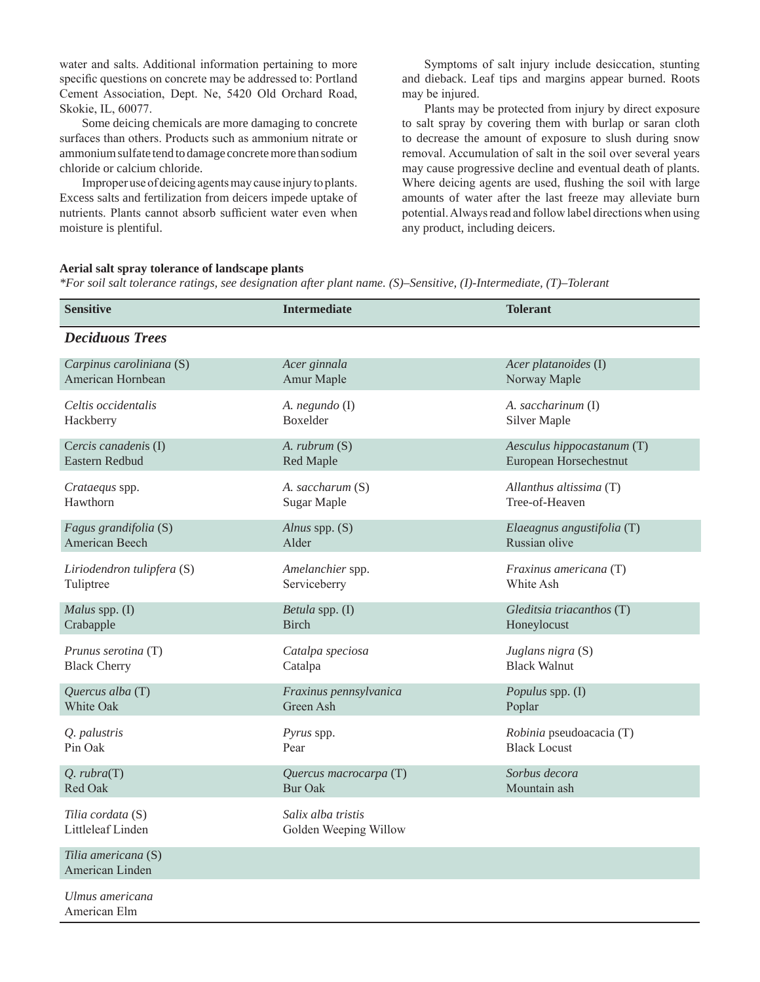water and salts. Additional information pertaining to more specific questions on concrete may be addressed to: Portland Cement Association, Dept. Ne, 5420 Old Orchard Road, Skokie, IL, 60077.

Some deicing chemicals are more damaging to concrete surfaces than others. Products such as ammonium nitrate or ammonium sulfate tend to damage concrete more than sodium chloride or calcium chloride.

Improper use of deicing agents may cause injury to plants. Excess salts and fertilization from deicers impede uptake of nutrients. Plants cannot absorb sufficient water even when moisture is plentiful.

Symptoms of salt injury include desiccation, stunting and dieback. Leaf tips and margins appear burned. Roots may be injured.

Plants may be protected from injury by direct exposure to salt spray by covering them with burlap or saran cloth to decrease the amount of exposure to slush during snow removal. Accumulation of salt in the soil over several years may cause progressive decline and eventual death of plants. Where deicing agents are used, flushing the soil with large amounts of water after the last freeze may alleviate burn potential. Always read and follow label directions when using any product, including deicers.

### **Aerial salt spray tolerance of landscape plants**

*\*For soil salt tolerance ratings, see designation after plant name. (S)–Sensitive, (I)-Intermediate, (T)–Tolerant*

| <b>Sensitive</b>                       | <b>Intermediate</b>                         | <b>Tolerant</b>            |
|----------------------------------------|---------------------------------------------|----------------------------|
| <b>Deciduous Trees</b>                 |                                             |                            |
| Carpinus caroliniana (S)               | Acer ginnala                                | Acer platanoides (I)       |
| American Hornbean                      | Amur Maple                                  | Norway Maple               |
| Celtis occidentalis                    | A. negundo (I)                              | A. saccharinum (I)         |
| Hackberry                              | Boxelder                                    | Silver Maple               |
| Cercis canadenis (I)                   | A. rubrum (S)                               | Aesculus hippocastanum (T) |
| Eastern Redbud                         | Red Maple                                   | European Horsechestnut     |
| Crataequs spp.                         | A. saccharum (S)                            | Allanthus altissima (T)    |
| Hawthorn                               | Sugar Maple                                 | Tree-of-Heaven             |
| Fagus grandifolia (S)                  | Alnus spp. (S)                              | Elaeagnus angustifolia (T) |
| American Beech                         | Alder                                       | Russian olive              |
| Liriodendron tulipfera (S)             | Amelanchier spp.                            | Fraxinus americana (T)     |
| Tuliptree                              | Serviceberry                                | White Ash                  |
| Malus spp. (I)                         | Betula spp. (I)                             | Gleditsia triacanthos (T)  |
| Crabapple                              | <b>Birch</b>                                | Honeylocust                |
| Prunus serotina (T)                    | Catalpa speciosa                            | Juglans nigra (S)          |
| <b>Black Cherry</b>                    | Catalpa                                     | <b>Black Walnut</b>        |
| Quercus alba $(T)$                     | Fraxinus pennsylvanica                      | Populus spp. (I)           |
| White Oak                              | Green Ash                                   | Poplar                     |
| Q. palustris                           | Pyrus spp.                                  | Robinia pseudoacacia (T)   |
| Pin Oak                                | Pear                                        | <b>Black Locust</b>        |
| $Q.$ $\mathit{rubra}(T)$               | Quercus macrocarpa (T)                      | Sorbus decora              |
| Red Oak                                | <b>Bur Oak</b>                              | Mountain ash               |
| Tilia cordata (S)<br>Littleleaf Linden | Salix alba tristis<br>Golden Weeping Willow |                            |
| Tilia americana (S)<br>American Linden |                                             |                            |
| Ulmus americana<br>American Elm        |                                             |                            |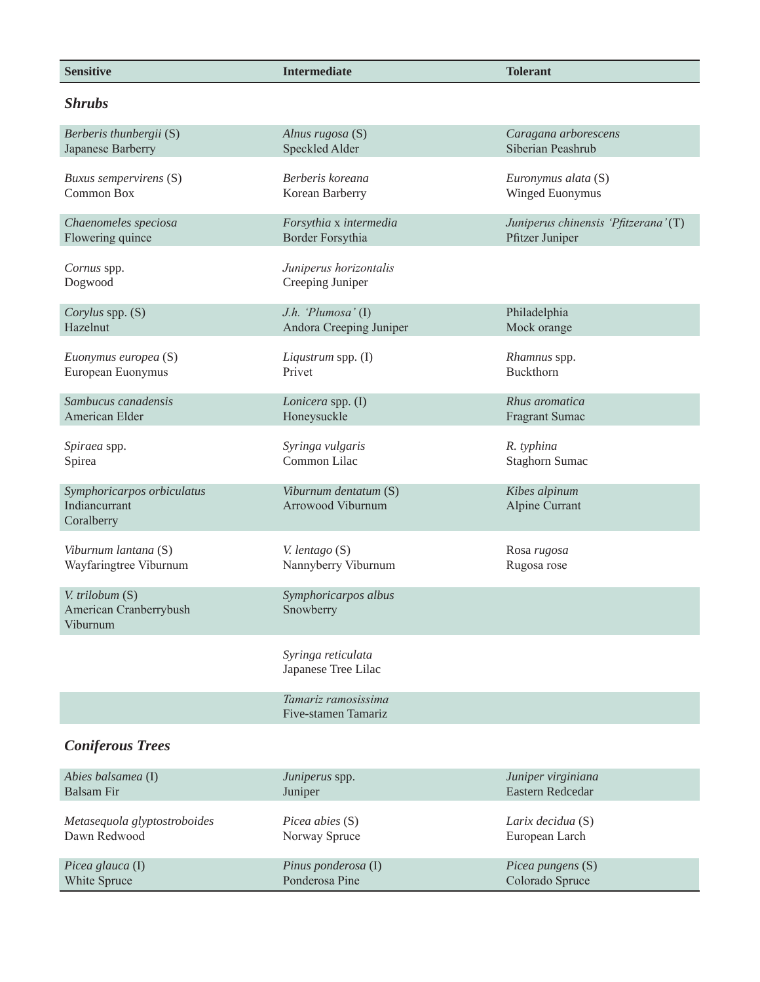| <b>Sensitive</b>                                          | <b>Intermediate</b>                        | <b>Tolerant</b>                      |
|-----------------------------------------------------------|--------------------------------------------|--------------------------------------|
| <b>Shrubs</b>                                             |                                            |                                      |
| Berberis thunbergii (S)                                   | Alnus rugosa (S)                           | Caragana arborescens                 |
| Japanese Barberry                                         | Speckled Alder                             | Siberian Peashrub                    |
| Buxus sempervirens (S)                                    | Berberis koreana                           | Euronymus alata (S)                  |
| Common Box                                                | Korean Barberry                            | Winged Euonymus                      |
| Chaenomeles speciosa                                      | Forsythia x intermedia                     | Juniperus chinensis 'Pfitzerana' (T) |
| Flowering quince                                          | Border Forsythia                           | Pfitzer Juniper                      |
| Cornus spp.<br>Dogwood                                    | Juniperus horizontalis<br>Creeping Juniper |                                      |
| Corylus spp. (S)                                          | J.h. 'Plumosa' $(I)$                       | Philadelphia                         |
| Hazelnut                                                  | Andora Creeping Juniper                    | Mock orange                          |
| Euonymus europea (S)                                      | Liqustrum spp. (I)                         | Rhamnus spp.                         |
| European Euonymus                                         | Privet                                     | Buckthorn                            |
| Sambucus canadensis                                       | Lonicera spp. (I)                          | Rhus aromatica                       |
| American Elder                                            | Honeysuckle                                | Fragrant Sumac                       |
| Spiraea spp.                                              | Syringa vulgaris                           | R. typhina                           |
| Spirea                                                    | Common Lilac                               | <b>Staghorn Sumac</b>                |
| Symphoricarpos orbiculatus<br>Indiancurrant<br>Coralberry | Viburnum dentatum (S)<br>Arrowood Viburnum | Kibes alpinum<br>Alpine Currant      |
| Viburnum lantana (S)                                      | V. lentago (S)                             | Rosa rugosa                          |
| Wayfaringtree Viburnum                                    | Nannyberry Viburnum                        | Rugosa rose                          |
| V. trilobum (S)<br>American Cranberrybush<br>Viburnum     | Symphoricarpos albus<br>Snowberry          |                                      |
|                                                           | Syringa reticulata<br>Japanese Tree Lilac  |                                      |
|                                                           | Tamariz ramosissima<br>Five-stamen Tamariz |                                      |
| <b>Coniferous Trees</b>                                   |                                            |                                      |

| Abies balsamea (I)           | Juniperus spp.         | Juniper virginiana       |
|------------------------------|------------------------|--------------------------|
| Balsam Fir                   | Juniper                | Eastern Redcedar         |
| Metasequola glyptostroboides | <i>Picea abies</i> (S) | Larix decidua (S)        |
| Dawn Redwood                 | Norway Spruce          | European Larch           |
| Picea glauca $(I)$           | Pinus ponderosa (I)    | <i>Picea pungens</i> (S) |
| White Spruce                 | Ponderosa Pine         | Colorado Spruce          |